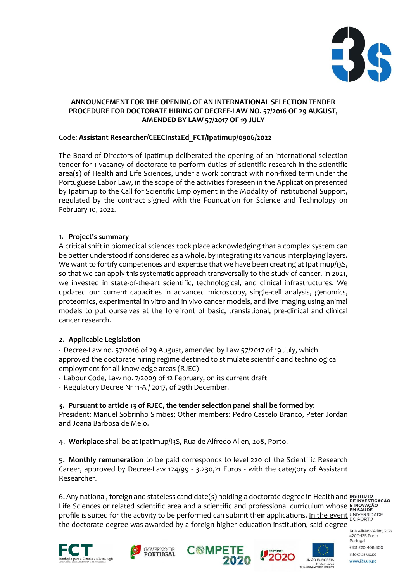

## **ANNOUNCEMENT FOR THE OPENING OF AN INTERNATIONAL SELECTION TENDER PROCEDURE FOR DOCTORATE HIRING OF DECREE-LAW NO. 57/2016 OF 29 AUGUST, AMENDED BY LAW 57/2017 OF 19 JULY**

# Code: **Assistant Researcher/CEECInst2Ed\_FCT/Ipatimup/0906/2022**

The Board of Directors of Ipatimup deliberated the opening of an international selection tender for 1 vacancy of doctorate to perform duties of scientific research in the scientific area(s) of Health and Life Sciences, under a work contract with non-fixed term under the Portuguese Labor Law, in the scope of the activities foreseen in the Application presented by Ipatimup to the Call for Scientific Employment in the Modality of Institutional Support, regulated by the contract signed with the Foundation for Science and Technology on February 10, 2022.

## **1. Project's summary**

A critical shift in biomedical sciences took place acknowledging that a complex system can be better understood if considered as a whole, by integrating its various interplaying layers. We want to fortify competences and expertise that we have been creating at Ipatimup/i3S, so that we can apply this systematic approach transversally to the study of cancer. In 2021, we invested in state-of-the-art scientific, technological, and clinical infrastructures. We updated our current capacities in advanced microscopy, single-cell analysis, genomics, proteomics, experimental in vitro and in vivo cancer models, and live imaging using animal models to put ourselves at the forefront of basic, translational, pre-clinical and clinical cancer research.

# **2. Applicable Legislation**

- Decree-Law no. 57/2016 of 29 August, amended by Law 57/2017 of 19 July, which approved the doctorate hiring regime destined to stimulate scientific and technological employment for all knowledge areas (RJEC)

- Labour Code, Law no. 7/2009 of 12 February, on its current draft

- Regulatory Decree Nr 11-A / 2017, of 29th December.

#### **3. Pursuant to article 13 of RJEC, the tender selection panel shall be formed by:**

President: Manuel Sobrinho Simões; Other members: Pedro Castelo Branco, Peter Jordan and Joana Barbosa de Melo.

4. **Workplace** shall be at Ipatimup/i3S, Rua de Alfredo Allen, 208, Porto.

5. **Monthly remuneration** to be paid corresponds to level 220 of the Scientific Research Career, approved by Decree-Law 124/99 - 3.230,21 Euros - with the category of Assistant Researcher.

6. Any national, foreign and stateless candidate(s) holding a doctorate degree in Health and Life Sciences or related scientific area and a scientific and professional curriculum whose profile is suited for the activity to be performed can submit their applications. In the event UNIVERSIDADE the doctorate degree was awarded by a foreign higher education institution, said degree

Rua Alfredo Allen, 208 4200-135 Porto Portugal +351 220 408 800 info@i3s.up.pt www.i3s.up.pt







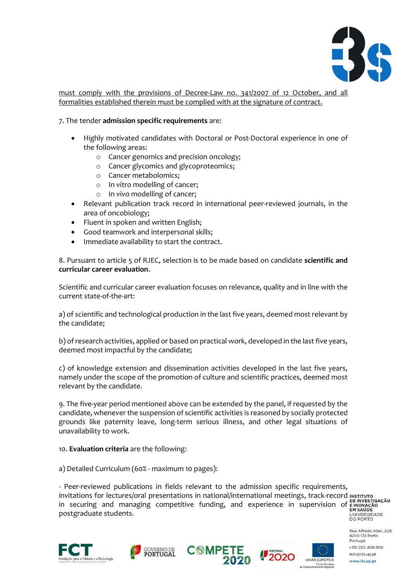

must comply with the provisions of Decree-Law no. 341/2007 of 12 October, and all formalities established therein must be complied with at the signature of contract.

## 7. The tender **admission specific requirements** are:

- Highly motivated candidates with Doctoral or Post-Doctoral experience in one of the following areas:
	- o Cancer genomics and precision oncology;
	- o Cancer glycomics and glycoproteomics;
	- o Cancer metabolomics;
	- o In vitro modelling of cancer;
	- o In vivo modelling of cancer;
- Relevant publication track record in international peer-reviewed journals, in the area of oncobiology;
- Fluent in spoken and written English;
- Good teamwork and interpersonal skills;
- Immediate availability to start the contract.

8. Pursuant to article 5 of RJEC, selection is to be made based on candidate **scientific and curricular career evaluation**.

Scientific and curricular career evaluation focuses on relevance, quality and in line with the current state-of-the-art:

a) of scientific and technological production in the last five years, deemed most relevant by the candidate;

b) of research activities, applied or based on practical work, developed in the last five years, deemed most impactful by the candidate;

c) of knowledge extension and dissemination activities developed in the last five years, namely under the scope of the promotion of culture and scientific practices, deemed most relevant by the candidate.

9. The five-year period mentioned above can be extended by the panel, if requested by the candidate, whenever the suspension of scientific activities is reasoned by socially protected grounds like paternity leave, long-term serious illness, and other legal situations of unavailability to work.

#### 10. **Evaluation criteria** are the following:

a) Detailed Curriculum (60% - maximum 10 pages):

- Peer-reviewed publications in fields relevant to the admission specific requirements, invitations for lectures/oral presentations in national/international meetings, track-record INSTITUTO in securing and managing competitive funding, and experience in supervision of EINVESTIGAÇÃO<br>postgraduate students.<br>DO PORTO postgraduate students.

 $\overline{a}$ 







Rua Alfredo Allen, 208 4200-135 Porto Portugal +351 220 408 800

info@i3s.up.pt

www.i3s.up.pt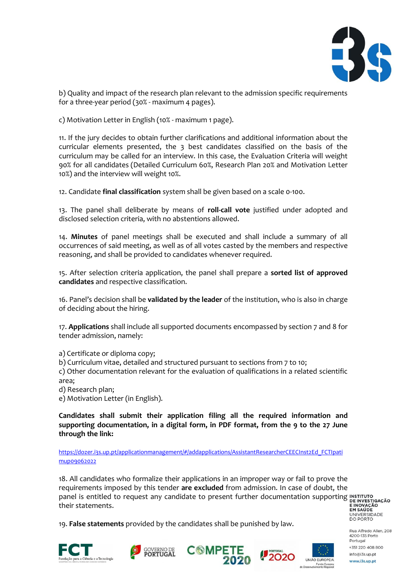

b) Quality and impact of the research plan relevant to the admission specific requirements for a three-year period (30% - maximum 4 pages).

c) Motivation Letter in English (10% - maximum 1 page).

11. If the jury decides to obtain further clarifications and additional information about the curricular elements presented, the 3 best candidates classified on the basis of the curriculum may be called for an interview. In this case, the Evaluation Criteria will weight 90% for all candidates (Detailed Curriculum 60%, Research Plan 20% and Motivation Letter 10%) and the interview will weight 10%.

12. Candidate **final classification** system shall be given based on a scale 0-100.

13. The panel shall deliberate by means of **roll-call vote** justified under adopted and disclosed selection criteria, with no abstentions allowed.

14. **Minutes** of panel meetings shall be executed and shall include a summary of all occurrences of said meeting, as well as of all votes casted by the members and respective reasoning, and shall be provided to candidates whenever required.

15. After selection criteria application, the panel shall prepare a **sorted list of approved candidates** and respective classification.

16. Panel's decision shall be **validated by the leader** of the institution, who is also in charge of deciding about the hiring.

17. **Applications** shall include all supported documents encompassed by section 7 and 8 for tender admission, namely:

a) Certificate or diploma copy;

b) Curriculum vitae, detailed and structured pursuant to sections from 7 to 10;

c) Other documentation relevant for the evaluation of qualifications in a related scientific area;

d) Research plan;

e) Motivation Letter (in English).

**Candidates shall submit their application filing all the required information and supporting documentation, in a digital form, in PDF format, from the 9 to the 27 June through the link:** 

[https://dozer.i3s.up.pt/applicationmanagement/#/addapplications/AssistantResearcherCEECInst2Ed\\_FCTIpati](https://dozer.i3s.up.pt/applicationmanagement/#/addapplications/AssistantResearcherCEECInst2Ed_FCTIpatimup09062022) [mup09062022](https://dozer.i3s.up.pt/applicationmanagement/#/addapplications/AssistantResearcherCEECInst2Ed_FCTIpatimup09062022)

18. All candidates who formalize their applications in an improper way or fail to prove the requirements imposed by this tender **are excluded** from admission. In case of doubt, the panel is entitled to request any candidate to present further documentation supporting their statements.

**ENOVAÇÃO<br>EM SAÚDE**<br>UNIVERSIDADE<br>DO PORTO

19. **False statements** provided by the candidates shall be punished by law.









Rua Alfredo Allen, 208 4200-135 Porto Portugal +351 220 408 800 info@i3s.up.pt

www.i3s.up.pt